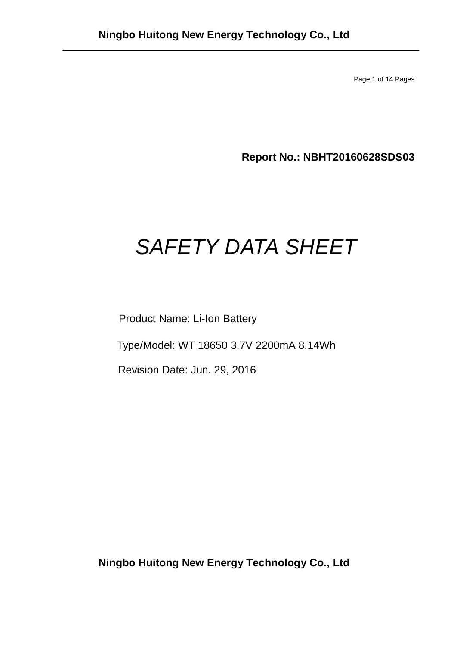Page 1 of 14 Pages

**Report No.: NBHT20160628SDS03**

# *SAFETY DATA SHEET*

Product Name: Li-Ion Battery

Type/Model: WT 18650 3.7V 2200mA 8.14Wh

Revision Date: Jun. 29, 2016

**Ningbo Huitong New Energy Technology Co., Ltd**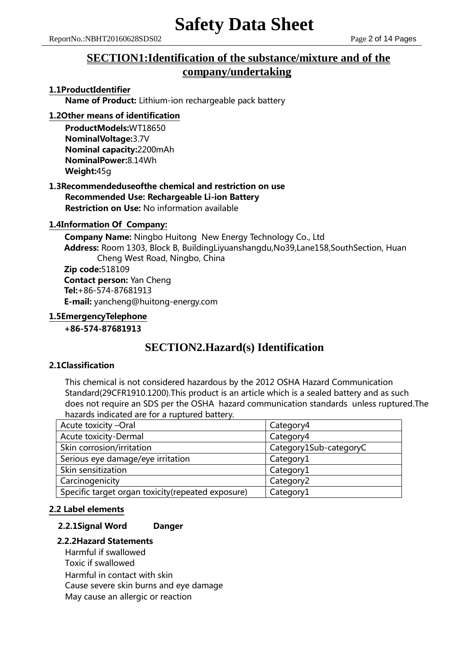# **SECTION1:Identification of the substance/mixture and of the company/undertaking**

#### 1.1ProductIdentifier

Name of Product: Lithium-ion rechargeable pack battery

#### 1.2Other means of identification

ProductModels:WT18650 NominalVoltage:3.7V Nominal capacity:2200mAh NominalPower:8.14Wh Weight:45g

1.3Recommendeduseofthe chemical and restriction on use Recommended Use: Rechargeable Li-ion Battery Restriction on Use: No information available

#### 1.4Information Of Company:

Company Name: Ningbo Huitong New Energy Technology Co., Ltd Address: Room 1303, Block B, BuildingLiyuanshangdu,No39,Lane158,SouthSection, Huan Cheng West Road, Ningbo, China Zip code:518109

Contact person: Yan Cheng Tel:+86-574-87681913 E-mail: [yancheng@huitong-energy.com](mailto:yancheng@huitong-energy.com)

#### 1.5EmergencyTelephone

+86-574-87681913

## **SECTION2.Hazard(s) Identification**

#### 2.1Classification

This chemical is not considered hazardous by the 2012 OSHA Hazard Communication Standard(29CFR1910.1200).This product is an article which is a sealed battery and as such does not require an SDS per the OSHA hazard communication standards unless ruptured.The hazards indicated are for a ruptured battery.

| Acute toxicity -Oral                               | Category4              |
|----------------------------------------------------|------------------------|
| Acute toxicity-Dermal                              | Category4              |
| Skin corrosion/irritation                          | Category1Sub-categoryC |
| Serious eye damage/eye irritation                  | Category1              |
| Skin sensitization                                 | Category1              |
| Carcinogenicity                                    | Category2              |
| Specific target organ toxicity (repeated exposure) | Category1              |

#### 2.2 Label elements

#### 2.2.1Signal Word Danger

#### 2.2.2Hazard Statements

Harmful if swallowed Toxic if swallowed Harmful in contact with skin Cause severe skin burns and eye damage May cause an allergic or reaction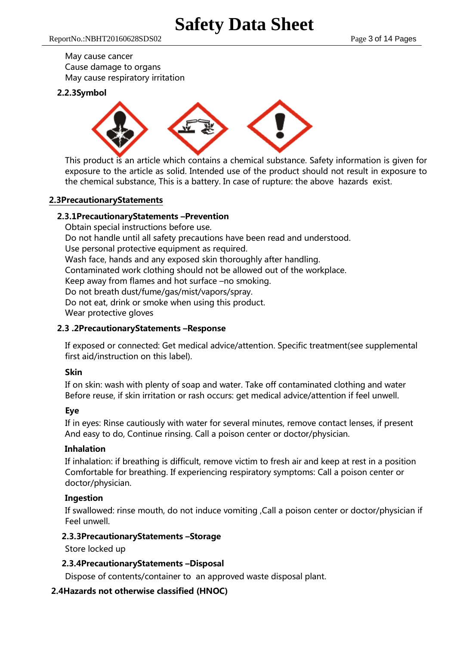May cause cancer Cause damage to organs May cause respiratory irritation

#### 2.2.3Symbol



This product is an article which contains a chemical substance. Safety information is given for exposure to the article as solid. Intended use of the product should not result in exposure to the chemical substance, This is a battery. In case of rupture: the above hazards exist.

#### 2.3PrecautionaryStatements

#### 2.3.1PrecautionaryStatements –Prevention

Obtain special instructions before use. Do not handle until all safety precautions have been read and understood. Use personal protective equipment as required. Wash face, hands and any exposed skin thoroughly after handling. Contaminated work clothing should not be allowed out of the workplace. Keep away from flames and hot surface –no smoking. Do not breath dust/fume/gas/mist/vapors/spray. Do not eat, drink or smoke when using this product. Wear protective gloves

#### 2.3 .2PrecautionaryStatements –Response

If exposed or connected: Get medical advice/attention. Specific treatment(see supplemental first aid/instruction on this label).

#### Skin

If on skin: wash with plenty of soap and water. Take off contaminated clothing and water Before reuse, if skin irritation or rash occurs: get medical advice/attention if feel unwell.

#### Eye

If in eyes: Rinse cautiously with water for several minutes, remove contact lenses, if present And easy to do, Continue rinsing. Call a poison center or doctor/physician.

#### Inhalation

If inhalation: if breathing is difficult, remove victim to fresh air and keep at rest in a position Comfortable for breathing. If experiencing respiratory symptoms: Call a poison center or doctor/physician.

#### Ingestion

If swallowed: rinse mouth, do not induce vomiting ,Call a poison center or doctor/physician if Feel unwell.

#### 2.3.3PrecautionaryStatements –Storage

Store locked up

#### 2.3.4PrecautionaryStatements –Disposal

Dispose of contents/container to an approved waste disposal plant.

#### 2.4Hazards not otherwise classified (HNOC)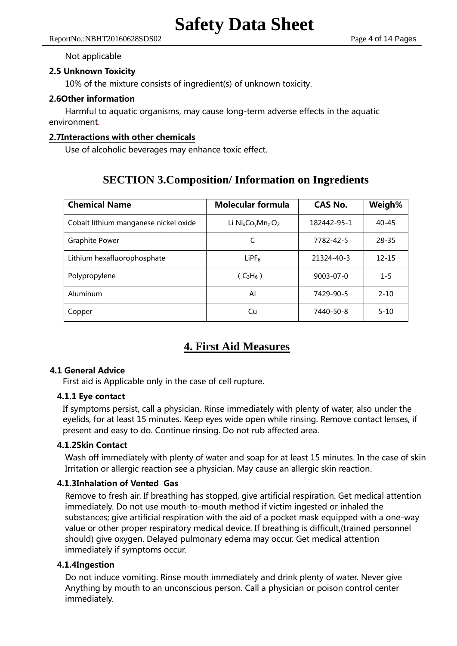Not applicable

#### 2.5 Unknown Toxicity

10% of the mixture consists of ingredient(s) of unknown toxicity.

#### 2.6Other information

Harmful to aquatic organisms, may cause long-term adverse effects in the aquatic environment.

#### 2.7Interactions with other chemicals

Use of alcoholic beverages may enhance toxic effect.

## **SECTION 3.Composition/ Information on Ingredients**

| <b>Chemical Name</b>                  | <b>Molecular formula</b>                                          | <b>CAS No.</b>  | Weigh%    |
|---------------------------------------|-------------------------------------------------------------------|-----------------|-----------|
| Cobalt lithium manganese nickel oxide | Li Ni <sub>x</sub> Co <sub>v</sub> Mn <sub>z</sub> O <sub>2</sub> | 182442-95-1     | $40 - 45$ |
| Graphite Power                        | C                                                                 | 7782-42-5       | $28 - 35$ |
| Lithium hexafluorophosphate           | LiPF <sub>6</sub>                                                 | 21324-40-3      | $12 - 15$ |
| Polypropylene                         | $(C_3H_6)$                                                        | $9003 - 07 - 0$ | $1 - 5$   |
| Aluminum                              | Al                                                                | 7429-90-5       | $2 - 10$  |
| Copper                                | Cu                                                                | 7440-50-8       | $5 - 10$  |

## **4. First Aid Measures**

#### 4.1 General Advice

First aid is Applicable only in the case of cell rupture.

#### 4.1.1 Eye contact

If symptoms persist, call a physician. Rinse immediately with plenty of water, also under the eyelids, for at least 15 minutes. Keep eyes wide open while rinsing. Remove contact lenses, if present and easy to do. Continue rinsing. Do not rub affected area.

#### 4.1.2Skin Contact

Wash off immediately with plenty of water and soap for at least 15 minutes. In the case of skin Irritation or allergic reaction see a physician. May cause an allergic skin reaction.

#### 4.1.3Inhalation of Vented Gas

Remove to fresh air. If breathing has stopped, give artificial respiration. Get medical attention immediately. Do not use mouth-to-mouth method if victim ingested or inhaled the substances; give artificial respiration with the aid of a pocket mask equipped with a one-way value or other proper respiratory medical device. If breathing is difficult,(trained personnel should) give oxygen. Delayed pulmonary edema may occur. Get medical attention immediately if symptoms occur.

#### 4.1.4Ingestion

Do not induce vomiting. Rinse mouth immediately and drink plenty of water. Never give Anything by mouth to an unconscious person. Call a physician or poison control center immediately.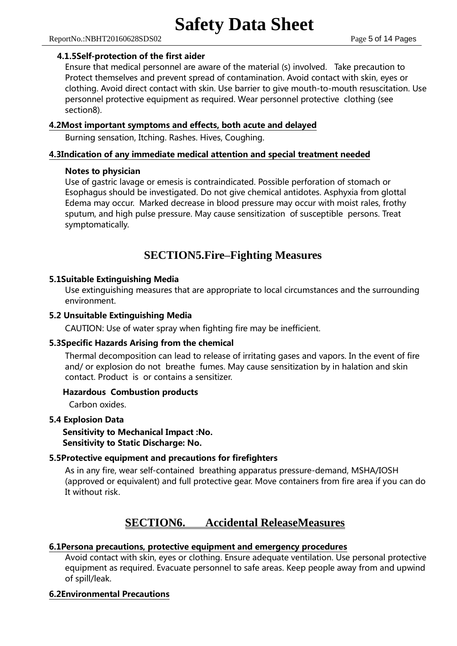ReportNo.:NBHT20160628SDS02 Page 5 of 14 Pages

#### 4.1.5Self-protection of the first aider

Ensure that medical personnel are aware of the material (s) involved. Take precaution to Protect themselves and prevent spread of contamination. Avoid contact with skin, eyes or clothing. Avoid direct contact with skin. Use barrier to give mouth-to-mouth resuscitation. Use personnel protective equipment as required. Wear personnel protective clothing (see section8).

#### 4.2Most important symptoms and effects, both acute and delayed

Burning sensation, Itching. Rashes. Hives, Coughing.

#### 4.3Indication of any immediate medical attention and special treatment needed

#### Notes to physician

Use of gastric lavage or emesis is contraindicated. Possible perforation of stomach or Esophagus should be investigated. Do not give chemical antidotes. Asphyxia from glottal Edema may occur. Marked decrease in blood pressure may occur with moist rales, frothy sputum, and high pulse pressure. May cause sensitization of susceptible persons. Treat symptomatically.

# **SECTION5.Fire–Fighting Measures**

#### 5.1Suitable Extinguishing Media

Use extinguishing measures that are appropriate to local circumstances and the surrounding environment.

#### 5.2 Unsuitable Extinguishing Media

CAUTION: Use of water spray when fighting fire may be inefficient.

#### 5.3Specific Hazards Arising from the chemical

Thermal decomposition can lead to release of irritating gases and vapors. In the event of fire and/ or explosion do not breathe fumes. May cause sensitization by in halation and skin contact. Product is or contains a sensitizer.

#### Hazardous Combustion products

Carbon oxides.

#### 5.4 Explosion Data

Sensitivity to Mechanical Impact :No. Sensitivity to Static Discharge: No.

#### 5.5Protective equipment and precautions for firefighters

As in any fire, wear self-contained breathing apparatus pressure-demand, MSHA/IOSH (approved or equivalent) and full protective gear. Move containers from fire area if you can do It without risk.

# **SECTION6. Accidental ReleaseMeasures**

#### 6.1Persona precautions, protective equipment and emergency procedures

Avoid contact with skin, eyes or clothing. Ensure adequate ventilation. Use personal protective equipment as required. Evacuate personnel to safe areas. Keep people away from and upwind of spill/leak.

#### 6.2Environmental Precautions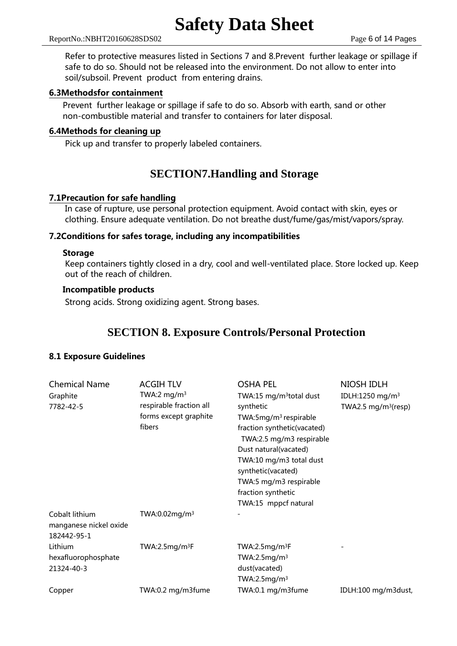ReportNo.:NBHT20160628SDS02 Page 6 of 14 Pages

Refer to protective measures listed in Sections 7 and 8.Prevent further leakage or spillage if safe to do so. Should not be released into the environment. Do not allow to enter into soil/subsoil. Prevent product from entering drains.

#### 6.3Methodsfor containment

Prevent further leakage or spillage if safe to do so. Absorb with earth, sand or other non-combustible material and transfer to containers for later disposal.

#### 6.4Methods for cleaning up

Pick up and transfer to properly labeled containers.

## **SECTION7.Handling and Storage**

#### 7.1Precaution for safe handling

In case of rupture, use personal protection equipment. Avoid contact with skin, eyes or clothing. Ensure adequate ventilation. Do not breathe dust/fume/gas/mist/vapors/spray.

#### 7.2Conditions for safes torage, including any incompatibilities

#### Storage

Keep containers tightly closed in a dry, cool and well-ventilated place. Store locked up. Keep out of the reach of children.

#### Incompatible products

Strong acids. Strong oxidizing agent. Strong bases.

## **SECTION 8. Exposure Controls/Personal Protection**

#### 8.1 Exposure Guidelines

| <b>Chemical Name</b>   | <b>ACGIH TLV</b>           | <b>OSHA PEL</b>                     | NIOSH IDLH                      |
|------------------------|----------------------------|-------------------------------------|---------------------------------|
| Graphite               | TWA:2 mg/m <sup>3</sup>    | TWA:15 mg/m <sup>3</sup> total dust | IDLH:1250 mg/m <sup>3</sup>     |
| 7782-42-5              | respirable fraction all    | synthetic                           | TWA2.5 mg/m <sup>3</sup> (resp) |
|                        | forms except graphite      | TWA:5mg/m <sup>3</sup> respirable   |                                 |
|                        | fibers                     | fraction synthetic(vacated)         |                                 |
|                        |                            | TWA:2.5 mg/m3 respirable            |                                 |
|                        |                            | Dust natural(vacated)               |                                 |
|                        |                            | TWA:10 mg/m3 total dust             |                                 |
|                        |                            | synthetic(vacated)                  |                                 |
|                        |                            | TWA:5 mg/m3 respirable              |                                 |
|                        |                            | fraction synthetic                  |                                 |
|                        |                            | TWA:15 mppcf natural                |                                 |
| Cobalt lithium         | TWA:0.02 $mg/m3$           |                                     |                                 |
| manganese nickel oxide |                            |                                     |                                 |
| 182442-95-1            |                            |                                     |                                 |
| Lithium                | TWA:2.5mg/m <sup>3</sup> F | TWA:2.5 $mg/m3F$                    |                                 |
| hexafluorophosphate    |                            | TWA:2.5 $mg/m3$                     |                                 |
| 21324-40-3             |                            | dust(vacated)                       |                                 |
|                        |                            | TWA:2.5mg/m <sup>3</sup>            |                                 |
| Copper                 | TWA:0.2 mg/m3fume          | TWA:0.1 mg/m3fume                   | IDLH:100 mg/m3dust,             |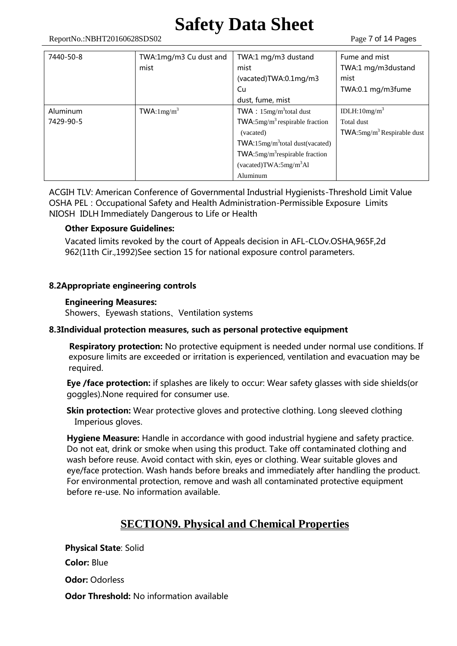# **Safety Data Sheet**

ReportNo.:NBHT20160628SDS02 Page 7 of 14 Pages

| 7440-50-8 | TWA:1mg/m3 Cu dust and | TWA:1 mg/m3 dustand                        | Fume and mist                               |
|-----------|------------------------|--------------------------------------------|---------------------------------------------|
|           | mist                   | mist                                       | TWA:1 mg/m3dustand                          |
|           |                        | (vacated)TWA:0.1mg/m3                      | mist                                        |
|           |                        | Cu                                         | TWA:0.1 mg/m3fume                           |
|           |                        | dust, fume, mist                           |                                             |
| Aluminum  | TWA: $1 \text{mg/m}^3$ | TWA : $15mg/m^3$ total dust                | IDLH: $10mg/m3$                             |
| 7429-90-5 |                        | TWA:5mg/m <sup>3</sup> respirable fraction | Total dust                                  |
|           |                        | (vacated)                                  | $\text{TWA:}5\text{mg/m}^3$ Respirable dust |
|           |                        | TWA:15 $mg/m^3$ total dust(vacated)        |                                             |
|           |                        | TWA: $5mg/m3$ respirable fraction          |                                             |
|           |                        | (vacated) $TWA:5mg/m3Al$                   |                                             |
|           |                        | Aluminum                                   |                                             |

ACGIH TLV: American Conference of Governmental Industrial Hygienists-Threshold Limit Value OSHA PEL:Occupational Safety and Health Administration-Permissible Exposure Limits NIOSH IDLH Immediately Dangerous to Life or Health

#### Other Exposure Guidelines:

Vacated limits revoked by the court of Appeals decision in AFL-CLOv.OSHA,965F,2d 962(11th Cir.,1992)See section 15 for national exposure control parameters.

#### 8.2Appropriate engineering controls

#### Engineering Measures:

Showers、Eyewash stations、Ventilation systems

#### 8.3Individual protection measures, such as personal protective equipment

**Respiratory protection:** No protective equipment is needed under normal use conditions. If exposure limits are exceeded or irritation is experienced, ventilation and evacuation may be required.

Eye /face protection: if splashes are likely to occur: Wear safety glasses with side shields(or goggles).None required for consumer use.

Skin protection: Wear protective gloves and protective clothing. Long sleeved clothing Imperious gloves.

Hygiene Measure: Handle in accordance with good industrial hygiene and safety practice. Do not eat, drink or smoke when using this product. Take off contaminated clothing and wash before reuse. Avoid contact with skin, eyes or clothing. Wear suitable gloves and eye/face protection. Wash hands before breaks and immediately after handling the product. For environmental protection, remove and wash all contaminated protective equipment before re-use. No information available.

# **SECTION9. Physical and Chemical Properties**

Physical State: Solid Color: Blue Odor: Odorless **Odor Threshold:** No information available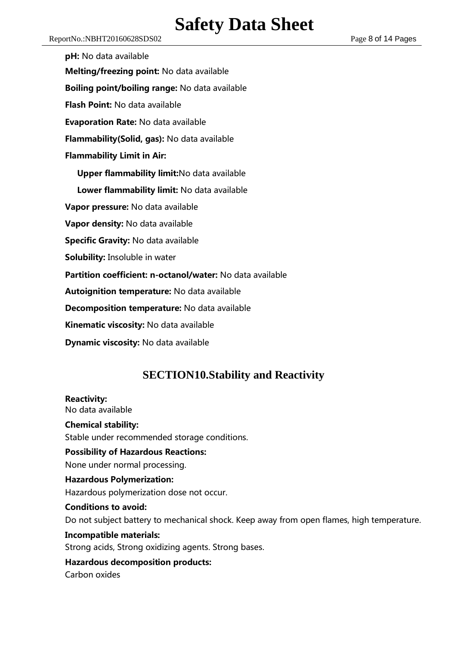# **Safety Data Sheet**

ReportNo.:NBHT20160628SDS02 Page 8 of 14 Pages

pH: No data available Melting/freezing point: No data available Boiling point/boiling range: No data available Flash Point: No data available Evaporation Rate: No data available Flammability(Solid, gas): No data available Flammability Limit in Air: Upper flammability limit:No data available Lower flammability limit: No data available Vapor pressure: No data available Vapor density: No data available Specific Gravity: No data available Solubility: Insoluble in water Partition coefficient: n-octanol/water: No data available Autoignition temperature: No data available Decomposition temperature: No data available Kinematic viscosity: No data available Dynamic viscosity: No data available

# **SECTION10.Stability and Reactivity**

#### Reactivity:

No data available

Chemical stability: Stable under recommended storage conditions.

## Possibility of Hazardous Reactions:

None under normal processing.

#### Hazardous Polymerization:

Hazardous polymerization dose not occur.

#### Conditions to avoid:

Do not subject battery to mechanical shock. Keep away from open flames, high temperature.

#### Incompatible materials:

Strong acids, Strong oxidizing agents. Strong bases.

## Hazardous decomposition products:

Carbon oxides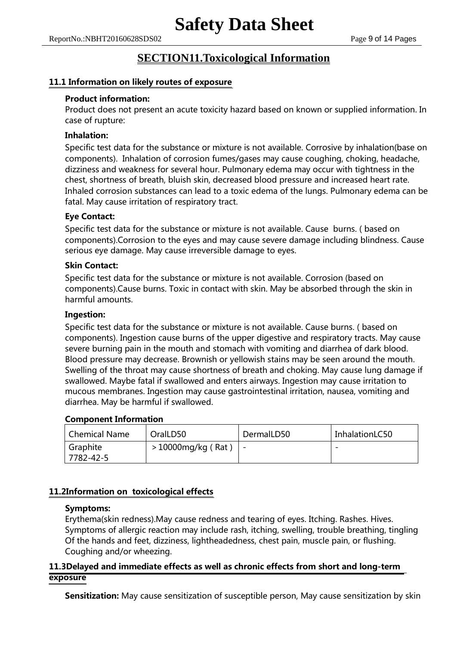## **SECTION11.Toxicological Information**

#### 11.1 Information on likely routes of exposure

#### Product information:

Product does not present an acute toxicity hazard based on known or supplied information. In case of rupture:

#### Inhalation:

Specific test data for the substance or mixture is not available. Corrosive by inhalation(base on components). Inhalation of corrosion fumes/gases may cause coughing, choking, headache, dizziness and weakness for several hour. Pulmonary edema may occur with tightness in the chest, shortness of breath, bluish skin, decreased blood pressure and increased heart rate. Inhaled corrosion substances can lead to a toxic edema of the lungs. Pulmonary edema can be fatal. May cause irritation of respiratory tract.

#### Eye Contact:

Specific test data for the substance or mixture is not available. Cause burns. ( based on components).Corrosion to the eyes and may cause severe damage including blindness. Cause serious eye damage. May cause irreversible damage to eyes.

#### Skin Contact:

Specific test data for the substance or mixture is not available. Corrosion (based on components).Cause burns. Toxic in contact with skin. May be absorbed through the skin in harmful amounts.

#### Ingestion:

Specific test data for the substance or mixture is not available. Cause burns. ( based on components). Ingestion cause burns of the upper digestive and respiratory tracts. May cause severe burning pain in the mouth and stomach with vomiting and diarrhea of dark blood. Blood pressure may decrease. Brownish or yellowish stains may be seen around the mouth. Swelling of the throat may cause shortness of breath and choking. May cause lung damage if swallowed. Maybe fatal if swallowed and enters airways. Ingestion may cause irritation to mucous membranes. Ingestion may cause gastrointestinal irritation, nausea, vomiting and diarrhea. May be harmful if swallowed.

#### Component Information

| <b>Chemical Name</b>  | OralLD50             | DermalLD50 | InhalationLC50 |
|-----------------------|----------------------|------------|----------------|
| Graphite<br>7782-42-5 | $>10000$ mg/kg (Rat) |            |                |

#### 11.2Information on toxicological effects

#### Symptoms:

Erythema(skin redness).May cause redness and tearing of eyes. Itching. Rashes. Hives. Symptoms of allergic reaction may include rash, itching, swelling, trouble breathing, tingling Of the hands and feet, dizziness, lightheadedness, chest pain, muscle pain, or flushing. Coughing and/or wheezing.

#### 11.3Delayed and immediate effects as well as chronic effects from short and long-term exposure

**Sensitization:** May cause sensitization of susceptible person, May cause sensitization by skin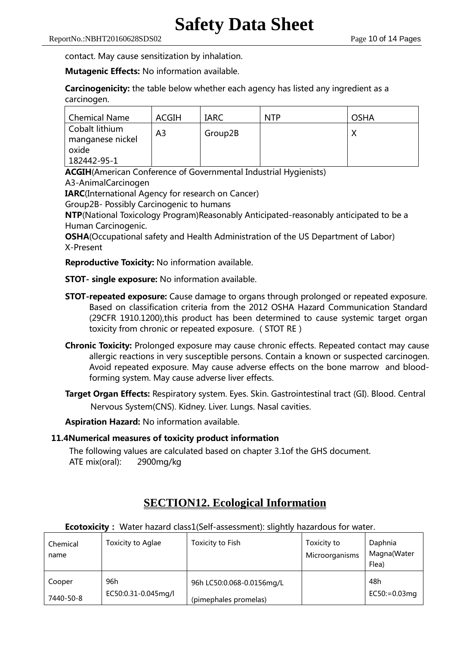contact. May cause sensitization by inhalation.

Mutagenic Effects: No information available.

Carcinogenicity: the table below whether each agency has listed any ingredient as a carcinogen.

| <b>Chemical Name</b>               | <b>ACGIH</b>   | <b>IARC</b> | <b>NTP</b> | <b>OSHA</b> |
|------------------------------------|----------------|-------------|------------|-------------|
| Cobalt lithium<br>manganese nickel | A <sub>3</sub> | Group2B     |            |             |
| oxide<br>182442-95-1               |                |             |            |             |

ACGIH(American Conference of Governmental Industrial Hygienists)

A3-AnimalCarcinogen

IARC(International Agency for research on Cancer)

Group2B- Possibly Carcinogenic to humans

NTP(National Toxicology Program)Reasonably Anticipated-reasonably anticipated to be a Human Carcinogenic.

OSHA(Occupational safety and Health Administration of the US Department of Labor) X-Present

**Reproductive Toxicity:** No information available.

- **STOT- single exposure:** No information available.
- **STOT-repeated exposure:** Cause damage to organs through prolonged or repeated exposure. Based on classification criteria from the 2012 OSHA Hazard Communication Standard (29CFR 1910.1200),this product has been determined to cause systemic target organ toxicity from chronic or repeated exposure. (STOT RE)
- **Chronic Toxicity:** Prolonged exposure may cause chronic effects. Repeated contact may cause allergic reactions in very susceptible persons. Contain a known or suspected carcinogen. Avoid repeated exposure. May cause adverse effects on the bone marrow and bloodforming system. May cause adverse liver effects.
- Target Organ Effects: Respiratory system. Eyes. Skin. Gastrointestinal tract (GI). Blood. Central Nervous System(CNS). Kidney. Liver. Lungs. Nasal cavities.

Aspiration Hazard: No information available.

#### 11.4Numerical measures of toxicity product information

The following values are calculated based on chapter 3.1of the GHS document. ATE mix(oral): 2900mg/kg

**Ecotoxicity:** Water hazard class1(Self-assessment): slightly hazardous for water.

| Chemical<br>name | Toxicity to Aglae   | Toxicity to Fish          | Toxicity to<br>Microorganisms | Daphnia<br>Magna(Water<br>Flea) |
|------------------|---------------------|---------------------------|-------------------------------|---------------------------------|
| Cooper           | 96h                 | 96h LC50:0.068-0.0156mg/L |                               | 48h                             |
| 7440-50-8        | EC50:0.31-0.045mg/l | (pimephales promelas)     |                               | $EC50:=0.03mg$                  |

## **SECTION12. Ecological Information**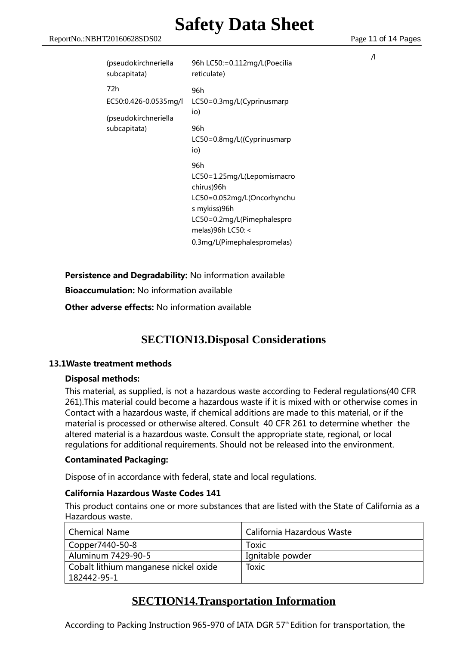# **Safety Data Sheet**

 $\sqrt{ }$ 

| (pseudokirchneriella  | 96h LC50:=0.112mg/L(Poecilia                                                                                                                     |
|-----------------------|--------------------------------------------------------------------------------------------------------------------------------------------------|
| subcapitata)          | reticulate)                                                                                                                                      |
| 72h                   | 96h                                                                                                                                              |
| EC50:0.426-0.0535mg/l | LC50=0.3mg/L(Cyprinusmarp                                                                                                                        |
| (pseudokirchneriella  | io)                                                                                                                                              |
| subcapitata)          | 96h<br>LC50=0.8mg/L((Cyprinusmarp<br>io)                                                                                                         |
|                       | 96h<br>LC50=1.25mg/L(Lepomismacro<br>chirus)96h<br>LC50=0.052mg/L(Oncorhynchu<br>s mykiss)96h<br>LC50=0.2mg/L(Pimephalespro<br>melas)96h LC50: < |

0.3mg/L(Pimephalespromelas)

Persistence and Degradability: No information available

**Bioaccumulation:** No information available

**Other adverse effects:** No information available

## **SECTION13.Disposal Considerations**

#### 13.1Waste treatment methods

#### Disposal methods:

This material, as supplied, is not a hazardous waste according to Federal regulations(40 CFR 261).This material could become a hazardous waste if it is mixed with or otherwise comes in Contact with a hazardous waste, if chemical additions are made to this material, or if the material is processed or otherwise altered. Consult 40 CFR 261 to determine whether the altered material is a hazardous waste. Consult the appropriate state, regional, or local regulations for additional requirements. Should not be released into the environment.

#### Contaminated Packaging:

Dispose of in accordance with federal, state and local regulations.

#### California Hazardous Waste Codes 141

This product contains one or more substances that are listed with the State of California as a Hazardous waste.

| Chemical Name                         | California Hazardous Waste |
|---------------------------------------|----------------------------|
| Copper7440-50-8                       | Toxic                      |
| Aluminum 7429-90-5                    | Ignitable powder           |
| Cobalt lithium manganese nickel oxide | Toxic                      |
| 182442-95-1                           |                            |

## **SECTION14.Transportation Information**

According to Packing Instruction 965-970 of IATA DGR 57" Edition for transportation, the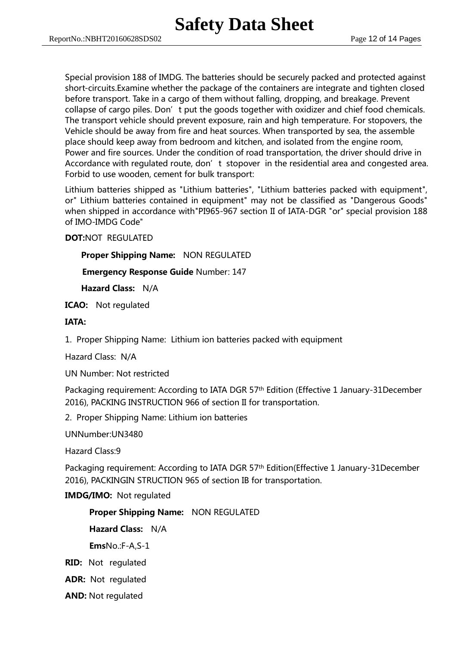Special provision 188 of IMDG. The batteries should be securely packed and protected against short-circuits.Examine whether the package of the containers are integrate and tighten closed before transport. Take in a cargo of them without falling, dropping, and breakage. Prevent collapse of cargo piles. Don't put the goods together with oxidizer and chief food chemicals. The transport vehicle should prevent exposure, rain and high temperature. For stopovers, the Vehicle should be away from fire and heat sources. When transported by sea, the assemble place should keep away from bedroom and kitchen, and isolated from the engine room, Power and fire sources. Under the condition of road transportation, the driver should drive in Accordance with regulated route, don't stopover in the residential area and congested area. Forbid to use wooden, cement for bulk transport:

Lithium batteries shipped as "Lithium batteries", "Lithium batteries packed with equipment", or" Lithium batteries contained in equipment" may not be classified as "Dangerous Goods" when shipped in accordance with"PI965-967 section II of IATA-DGR "or" special provision 188 of IMO-IMDG Code"

#### DOT:NOT REGULATED

Proper Shipping Name: NON REGULATED

Emergency Response Guide Number: 147

Hazard Class: N/A

ICAO: Not regulated

#### IATA:

1. Proper Shipping Name: Lithium ion batteries packed with equipment

Hazard Class: N/A

UN Number: Not restricted

Packaging requirement: According to IATA DGR 57<sup>th</sup> Edition (Effective 1 January-31December 2016), PACKING INSTRUCTION 966 of section II for transportation.

2. Proper Shipping Name: Lithium ion batteries

UNNumber:UN3480

Hazard Class:9

Packaging requirement: According to IATA DGR 57th Edition(Effective 1 January-31December 2016), PACKINGIN STRUCTION 965 of section IB for transportation.

#### IMDG/IMO: Not regulated

Proper Shipping Name: NON REGULATED

Hazard Class: N/A

EmsNo.:F-A,S-1

- RID: Not regulated
- ADR: Not regulated
- AND: Not regulated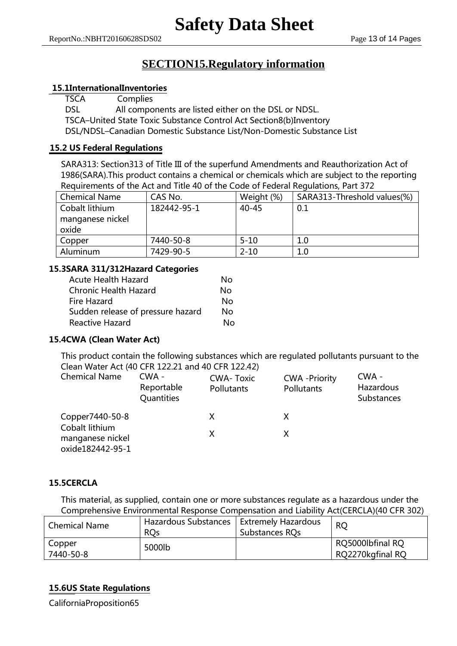# **SECTION15.Regulatory information**

#### 15.1InternationalInventories

TSCA Complies DSL All components are listed either on the DSL or NDSL. TSCA–United State Toxic Substance Control Act Section8(b)Inventory DSL/NDSL–Canadian Domestic Substance List/Non-Domestic Substance List

#### 15.2 US Federal Regulations

SARA313: Section313 of Title III of the superfund Amendments and Reauthorization Act of 1986(SARA).This product contains a chemical or chemicals which are subject to the reporting Requirements of the Act and Title 40 of the Code of Federal Regulations, Part 372

| <b>Chemical Name</b>      | CAS No.     | Weight (%) | SARA313-Threshold values(%) |
|---------------------------|-------------|------------|-----------------------------|
| Cobalt lithium            | 182442-95-1 | $40 - 45$  | 0.1                         |
| manganese nickel<br>oxide |             |            |                             |
| Copper                    | 7440-50-8   | $5 - 10$   | 1.0                         |
| Aluminum                  | 7429-90-5   | $2 - 10$   | 1.0                         |

#### 15.3SARA 311/312Hazard Categories

| <b>Acute Health Hazard</b>        | Nο  |
|-----------------------------------|-----|
| Chronic Health Hazard             | Nο  |
| Fire Hazard                       | N٥  |
| Sudden release of pressure hazard | No. |
| Reactive Hazard                   | No  |

#### 15.4CWA (Clean Water Act)

This product contain the following substances which are regulated pollutants pursuant to the Clean Water Act (40 CFR 122.21 and 40 CFR 122.42)

| <b>Chemical Name</b>                                   | CWA -<br>Reportable<br>Quantities | <b>CWA-Toxic</b><br>Pollutants | <b>CWA</b> - Priority<br>Pollutants | $CWA -$<br>Hazardous<br>Substances |
|--------------------------------------------------------|-----------------------------------|--------------------------------|-------------------------------------|------------------------------------|
| Copper7440-50-8                                        |                                   | X                              |                                     |                                    |
| Cobalt lithium<br>manganese nickel<br>oxide182442-95-1 |                                   | x                              |                                     |                                    |

#### 15.5CERCLA

This material, as supplied, contain one or more substances regulate as a hazardous under the Comprehensive Environmental Response Compensation and Liability Act(CERCLA)(40 CFR 302)

| <b>Chemical Name</b> | Hazardous Substances   Extremely Hazardous<br><b>ROs</b> | Substances ROs | <b>RO</b>                            |
|----------------------|----------------------------------------------------------|----------------|--------------------------------------|
| Copper<br>7440-50-8  | 5000lb                                                   |                | RQ5000lbfinal RQ<br>RQ2270kgfinal RQ |

#### 15.6US State Regulations

CaliforniaProposition65